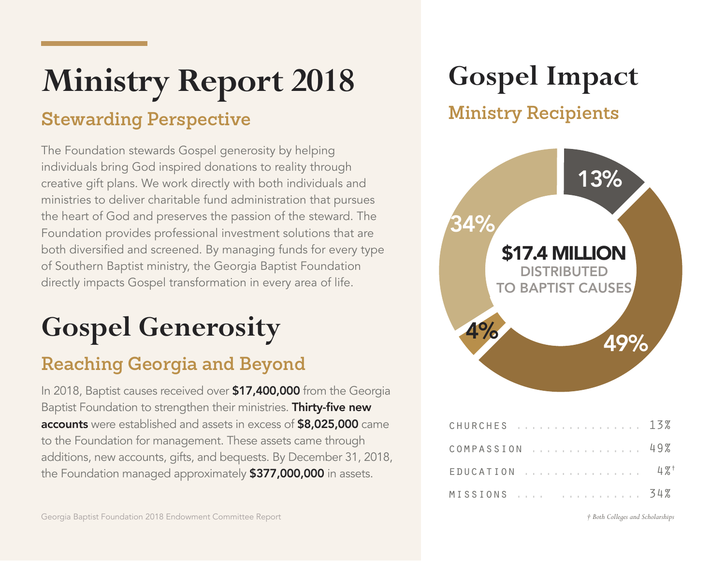# **Ministry Report 2018**

#### **Stewarding Perspective**

The Foundation stewards Gospel generosity by helping individuals bring God inspired donations to reality through creative gift plans. We work directly with both individuals and ministries to deliver charitable fund administration that pursues the heart of God and preserves the passion of the steward. The Foundation provides professional investment solutions that are both diversified and screened. By managing funds for every type of Southern Baptist ministry, the Georgia Baptist Foundation directly impacts Gospel transformation in every area of life.

### **Gospel Generosity**

#### **Reaching Georgia and Beyond**

In 2018, Baptist causes received over **\$17,400,000** from the Georgia Baptist Foundation to strengthen their ministries. Thirty-five new accounts were established and assets in excess of \$8,025,000 came to the Foundation for management. These assets came through additions, new accounts, gifts, and bequests. By December 31, 2018, the Foundation managed approximately **\$377,000,000** in assets.

### **Gospel Impact**

#### **Ministry Recipients**



| CHURCHES 13%                |  |  |  |  |  |  |  |  |  |
|-----------------------------|--|--|--|--|--|--|--|--|--|
| COMPASSION NETTIL 198       |  |  |  |  |  |  |  |  |  |
| $EDUCATION$ 4% <sup>+</sup> |  |  |  |  |  |  |  |  |  |
| MISSIONS   34%              |  |  |  |  |  |  |  |  |  |